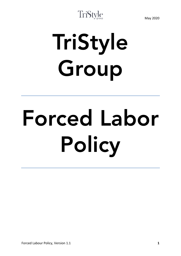## TriStyle

# TriStyle Group

# Forced Labor Policy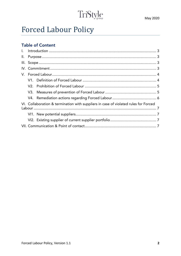## TriStyle

## **Forced Labour Policy**

## **Table of Content**

|  | VI. Collaboration & termination with suppliers in case of violated rules for Forced |  |  |
|--|-------------------------------------------------------------------------------------|--|--|
|  |                                                                                     |  |  |
|  |                                                                                     |  |  |
|  |                                                                                     |  |  |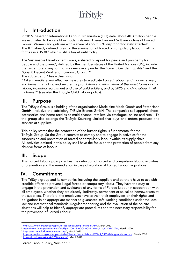## <span id="page-2-0"></span>I. Introduction

In 2016, based on International Labour Organization (ILO) data, about 40.3 million people are estimated to be caught in modern slavery. Thereof around 62% are victims of Forced Labour. Women and girls are with a share of about 58% disproportionately affected<sup>1</sup>. The ILO already defined rules for the elimination of forced or compulsory labour in all its forms since 1930 <sup>2</sup> which is still a target until today.

The Sustainable Development Goals, a shared blueprint for peace and prosperity for people and the planet<sup>3</sup>, defined by the member states of the United Nations (UN), include the target to end any form of modern slavery under the "Goal 5 Gender Equality" and the "Goal 8 Decent Work and Economic Growth"<sup>4</sup> .

The subtarget 8.7 has a clear vision:

*"Take immediate and effective measures to eradicate Forced Labour, end modern slavery and human trafficking and secure the prohibition and elimination of the worst forms of child*  labour, including recruitment and use of child soldiers, and by 2025 end child labour in all its forms."<sup>5</sup> (see also the TriStyle Child Labour policy).

## <span id="page-2-1"></span>II. Purpose

The TriStyle Group is a holding of the organizations Madeleine Mode GmbH and Peter Hahn GmbH, inclusive the subsidiary TriStyle Brands GmbH. The companies sell apparel, shoes, accessories and home textiles as multi-channel retailers via catalogue, online and retail. To the group also belongs the TriStyle Sourcing Limited that buys and orders products and services at suppliers.

This policy states that the protection of the human rights is fundamental for the TriStyle Group. So the Group commits to comply and to engage in activities for the suppression and prevention of forced or compulsory labour within its supply chain. All activities defined in this policy shall have the focus on the protection of people from any abusive forms of labour.

## <span id="page-2-2"></span>III. Scope

This Forced Labour policy clarifies the definition of forced and compulsory labour, activities of prevention and the remediation in case of violation of Forced Labour regulations.

## <span id="page-2-3"></span>IV. Commitment

The TriStyle group and its companies including the suppliers and partners have to act with credible efforts to prevent illegal forced or compulsory labour. They have the duty to engage in the prevention and avoidance of any forms of Forced Labour in cooperation with all employees, whether they are directly, indirectly, permanent or so called homeworkers at the suppliers. Therefore, the employers have to train their employees on their rights and obligations in an appropriate manner to guarantee safe working conditions under the local law and international standards. Regular monitoring and the evaluation of the on-site situations will help to identify appropriate procedures and the necessary responsibility for the prevention of Forced Labour.

<sup>1</sup> <sup>1</sup> [https://www.ilo.org/global/topics/forced-labour/lang--en/index.htm,](https://www.ilo.org/global/topics/forced-labour/lang--en/index.htm) March 2020

<sup>2</sup> [https://www.ilo.org/dyn/normlex/en/f?p=1000:12100:0::NO::P12100\\_ILO\\_CODE:C029](https://www.ilo.org/dyn/normlex/en/f?p=1000:12100:0::NO::P12100_ILO_CODE:C029) , March 2020

<sup>3</sup> <https://sustainabledevelopment.un.org/> , March 2020

<sup>4</sup> [https://www.ilo.org/global/topics/dw4sd/themes/forced-labour/WCMS\\_558561/lang--en/index.htm](https://www.ilo.org/global/topics/dw4sd/themes/forced-labour/WCMS_558561/lang--en/index.htm) , March 2020

<sup>5</sup> <https://flbusiness.network/2030-agenda/> , March 2020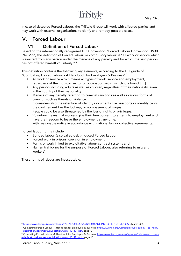## TriStyle

In case of detected Forced Labour, the TriStyle Group will work with affected parties and may work with external organizations to clarify and remedy possible cases.

## <span id="page-3-0"></span>V. Forced Labour

## V1. Definition of Forced Labour

<span id="page-3-1"></span>Based on the internationally recognised ILO Convention "Forced Labour Convention, 1930 (No. 29)", the definition of Forced Labour or compulsory labour is "all work or service which is exacted from any person under the menace of any penalty and for which the said person has not offered himself voluntarily." <sup>6</sup>

This definition contains the following key elements, according to the ILO guide of "Combating Forced Labour - A Handbook for Employers & Business"<sup>7</sup> :

- All work or service which means all types of work, service and employment, regardless of the industry, sector or occupation within which it is found. […]
- Any person including adults as well as children, regardless of their nationality, even in the country of their nationality.
- Menace of any penalty referring to criminal sanctions as well as various forms of coercion such as threats or violence. It considers also the retention of identity documents like passports or identity cards, the confinement like the lock-up, or non-payment of wages. People could be also threatened by the loss of rights or privileges.
- **•** Voluntary means that workers give their free consent to enter into employment and have the freedom to leave the employment at any time, with reasonable notice in accordance with national law or collective agreements.

Forced labour forms include

- **Bonded labour (also called debt-induced Forced Labour),**
- Forced work in prisons, coercion in employment,
- **Forms of work linked to exploitative labour contract systems and**
- **Human trafficking for the purpose of Forced Labour, also referring to migrant** workers<sup>8</sup>

These forms of labour are inacceptable.

<u>.</u>

<sup>6</sup> [https://www.ilo.org/dyn/normlex/en/f?p=NORMLEXPUB:12100:0::NO::P12100\\_ILO\\_CODE:C029](https://www.ilo.org/dyn/normlex/en/f?p=NORMLEXPUB:12100:0::NO::P12100_ILO_CODE:C029) , March 2020

<sup>&</sup>lt;sup>7</sup> Combating Forced Labour -A Handbook for Employers & Business[, https://www.ilo.org/wcmsp5/groups/public/---ed\\_norm/-](https://www.ilo.org/wcmsp5/groups/public/---ed_norm/---declaration/documents/publication/wcms_101171.pdf) [--declaration/documents/publication/wcms\\_101171.pdf,](https://www.ilo.org/wcmsp5/groups/public/---ed_norm/---declaration/documents/publication/wcms_101171.pdf) page 4.

<sup>8</sup> Combating Forced Labour -A Handbook for Employers & Business[, https://www.ilo.org/wcmsp5/groups/public/---ed\\_norm/-](https://www.ilo.org/wcmsp5/groups/public/---ed_norm/---declaration/documents/publication/wcms_101171.pdf) [--declaration/documents/publication/wcms\\_101171.pdf](https://www.ilo.org/wcmsp5/groups/public/---ed_norm/---declaration/documents/publication/wcms_101171.pdf), page 10.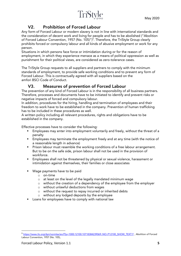## V2. Prohibition of Forced Labour

<span id="page-4-0"></span>Any form of Forced Labour or modern slavery is not in line with international standards and the consideration of decent work and living for people and has to be abolished ("Abolition of Forced Labour Convention, 1957 (No. 105)") 9 . Therefore, the TriStyle Group clearly prohibits forced or compulsory labour and all kinds of abusive employment or work for any person.

Situations in which persons face force or intimidation during or for the reason of employment, in which they experience menace as a means of political oppression as well as punishment for their political views, are considered as zero-tolerance cases.

The TriStyle Group requests to all suppliers and partners to comply with the minimum standards of employment, to provide safe working conditions and to prevent any form of Forced Labour. This is contractually agreed with all suppliers based on the amfori BSCI Code of Conduct.

## V3. Measures of prevention of Forced Labour

<span id="page-4-1"></span>The prevention of any kind of Forced Labour is in the responsibility of all business partners. Therefore, processes and documents have to be initiated to identify and prevent risks or negative impacts of forced and compulsory labour.

In addition, procedures for the hiring, handling and termination of employees and their freedom to work have to be established in the company. Prevention of human trafficking has to be included in these procedures as well.

A written policy including all relevant procedures, rights and obligations have to be established in the company.

Effective processes have to consider the following:

- **Employees may enter into employment voluntarily and freely, without the threat of a** penalty
- **Employees may terminate the employment freely and at any time (with the notice of** a reasonable length in advance)
- **Prison labour must resemble the working conditions of a free labour arrangement.** But to be on the safe side, prison labour shall not be used in the provision of workforce.
- **Employees shall not be threatened by physical or sexual violence, harassment or** intimidation against themselves, their families or close associates
- Wage payments have to be paid
	- o on-time
	- o at least on the level of the legally mandated minimum wage
	- o without the creation of a dependency of the employee from the employer
	- o without unlawful deductions from wages
	- o without the request to repay incurred or inherited debts
	- o without any lodged deposits by the employee
- Loans for employees have to comply with national law

1

<sup>9</sup> [https://www.ilo.org/dyn/normlex/en/f?p=1000:12100:10718384239069::NO::P12100\\_SHOW\\_TEXT:Y](https://www.ilo.org/dyn/normlex/en/f?p=1000:12100:10718384239069::NO::P12100_SHOW_TEXT:Y) , Abolition of Forced Labour Convention, 1957 (No. 105),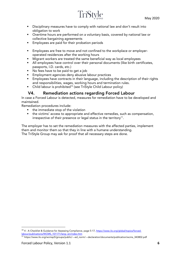

- **Disciplinary measures have to comply with national law and don't result into** obligation to work
- Overtime hours are performed on a voluntary basis, covered by national law or collective bargaining agreements
- **Employees are paid for their probation periods**
- **Employees are free to move and not confined to the workplace or employer**operated residences after the working hours
- Migrant workers are treated the same beneficial way as local employees
- All employees have control over their personal documents (like birth certificates, passports, I.D. cards, etc.)
- No fees have to be paid to get a job
- **Employment agencies deny abusive labour practices**
- **Employees have contracts in their language, including the description of their rights** and responsibilities, wages, working hours and termination rules.
- Child labour is prohibited<sup>10</sup> (see TriStyle Child Labour policy)

#### V4. Remediation actions regarding Forced Labour

<span id="page-5-0"></span>In case a Forced Labour is detected, measures for remediation have to be developed and maintained.

Remediation procedures include:

- the immediate stop of the violation
- the victims' access to appropriate and effective remedies, such as compensation, irrespective of their presence or legal status in the territory $^{11}$ .

The employer has to set the remediation measures with the affected parties, implement them and monitor them so that they in line with a humane understanding. The TriStyle Group may ask for proof that all necessary steps are done.

1

<sup>&</sup>lt;sup>10</sup> 4 - A Checklist & Guidance for Assessing Compliance, page 5-17[, https://www.ilo.org/global/topics/forced](https://www.ilo.org/global/topics/forced-labour/publications/WCMS_101171/lang--en/index.htm)[labour/publications/WCMS\\_101171/lang--en/index.htm](https://www.ilo.org/global/topics/forced-labour/publications/WCMS_101171/lang--en/index.htm)

<sup>11</sup> https://www.ilo.org/wcmsp5/groups/public/---ed\_norm/---declaration/documents/publication/wcms\_343802.pdf